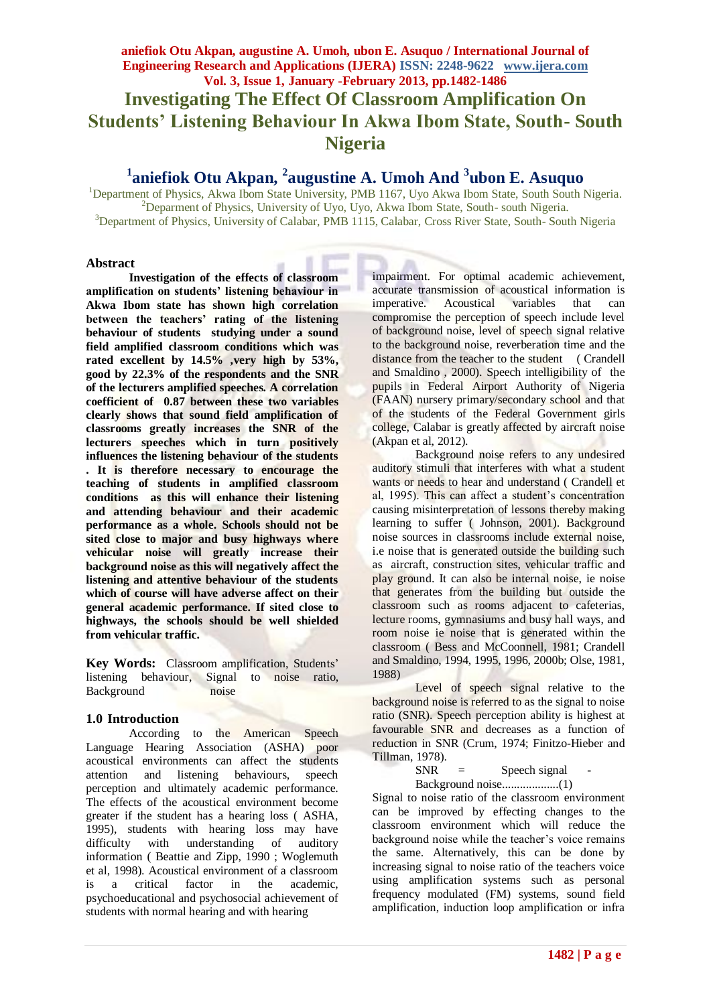# **aniefiok Otu Akpan, augustine A. Umoh, ubon E. Asuquo / International Journal of Engineering Research and Applications (IJERA) ISSN: 2248-9622 www.ijera.com Vol. 3, Issue 1, January -February 2013, pp.1482-1486 Investigating The Effect Of Classroom Amplification On Students' Listening Behaviour In Akwa Ibom State, South- South Nigeria**

# **1 aniefiok Otu Akpan, <sup>2</sup> augustine A. Umoh And <sup>3</sup> ubon E. Asuquo**

<sup>1</sup>Department of Physics, Akwa Ibom State University, PMB 1167, Uyo Akwa Ibom State, South South Nigeria. <sup>2</sup>Deparment of Physics, University of Uyo, Uyo, Akwa Ibom State, South- south Nigeria. <sup>3</sup>Department of Physics, University of Calabar, PMB 1115, Calabar, Cross River State, South- South Nigeria

### **Abstract**

**Investigation of the effects of classroom amplification on students' listening behaviour in Akwa Ibom state has shown high correlation between the teachers' rating of the listening behaviour of students studying under a sound field amplified classroom conditions which was rated excellent by 14.5% ,very high by 53%, good by 22.3% of the respondents and the SNR of the lecturers amplified speeches. A correlation coefficient of 0.87 between these two variables clearly shows that sound field amplification of classrooms greatly increases the SNR of the lecturers speeches which in turn positively influences the listening behaviour of the students . It is therefore necessary to encourage the teaching of students in amplified classroom conditions as this will enhance their listening and attending behaviour and their academic performance as a whole. Schools should not be sited close to major and busy highways where vehicular noise will greatly increase their background noise as this will negatively affect the listening and attentive behaviour of the students which of course will have adverse affect on their general academic performance. If sited close to highways, the schools should be well shielded from vehicular traffic.**

**Key Words:** Classroom amplification, Students' listening behaviour, Signal to noise ratio, Background noise

### **1.0 Introduction**

According to the American Speech Language Hearing Association (ASHA) poor acoustical environments can affect the students attention and listening behaviours, speech perception and ultimately academic performance. The effects of the acoustical environment become greater if the student has a hearing loss ( ASHA, 1995), students with hearing loss may have difficulty with understanding of auditory information ( Beattie and Zipp, 1990 ; Woglemuth et al, 1998). Acoustical environment of a classroom is a critical factor in the academic, psychoeducational and psychosocial achievement of students with normal hearing and with hearing

impairment. For optimal academic achievement, accurate transmission of acoustical information is imperative. Acoustical variables that can compromise the perception of speech include level of background noise, level of speech signal relative to the background noise, reverberation time and the distance from the teacher to the student ( Crandell and Smaldino , 2000). Speech intelligibility of the pupils in Federal Airport Authority of Nigeria (FAAN) nursery primary/secondary school and that of the students of the Federal Government girls college, Calabar is greatly affected by aircraft noise (Akpan et al, 2012).

Background noise refers to any undesired auditory stimuli that interferes with what a student wants or needs to hear and understand (Crandell et al, 1995). This can affect a student's concentration causing misinterpretation of lessons thereby making learning to suffer ( Johnson, 2001). Background noise sources in classrooms include external noise, i.e noise that is generated outside the building such as aircraft, construction sites, vehicular traffic and play ground. It can also be internal noise, ie noise that generates from the building but outside the classroom such as rooms adjacent to cafeterias, lecture rooms, gymnasiums and busy hall ways, and room noise ie noise that is generated within the classroom ( Bess and McCoonnell, 1981; Crandell and Smaldino, 1994, 1995, 1996, 2000b; Olse, 1981, 1988)

Level of speech signal relative to the background noise is referred to as the signal to noise ratio (SNR). Speech perception ability is highest at favourable SNR and decreases as a function of reduction in SNR (Crum, 1974; Finitzo-Hieber and Tillman, 1978).

 $SNR =$  Speech signal

Background noise...................(1)

Signal to noise ratio of the classroom environment can be improved by effecting changes to the classroom environment which will reduce the background noise while the teacher's voice remains the same. Alternatively, this can be done by increasing signal to noise ratio of the teachers voice using amplification systems such as personal frequency modulated (FM) systems, sound field amplification, induction loop amplification or infra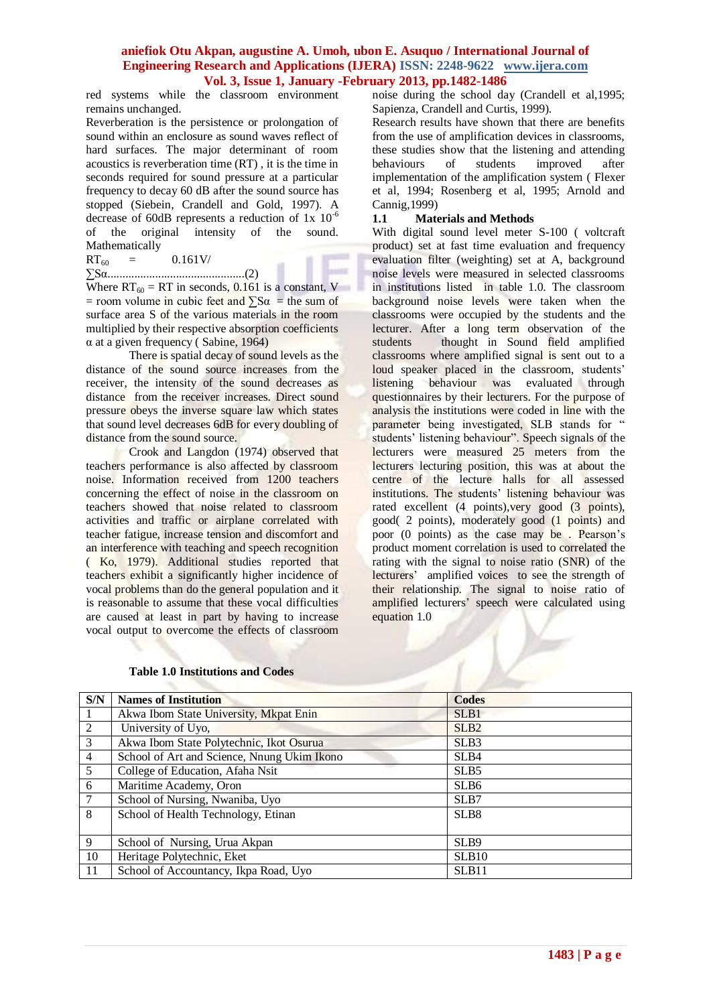red systems while the classroom environment remains unchanged.

Reverberation is the persistence or prolongation of sound within an enclosure as sound waves reflect of hard surfaces. The major determinant of room acoustics is reverberation time (RT) , it is the time in seconds required for sound pressure at a particular frequency to decay 60 dB after the sound source has stopped (Siebein, Crandell and Gold, 1997). A decrease of 60dB represents a reduction of  $1x \times 10^{-6}$ of the original intensity of the sound. Mathematically

### $RT_{60} = 0.161V/$

### ∑Sα..............................................(2)

Where  $RT_{60} = RT$  in seconds, 0.161 is a constant, V  $=$  room volume in cubic feet and  $\sum S\alpha$  = the sum of surface area S of the various materials in the room multiplied by their respective absorption coefficients  $\alpha$  at a given frequency (Sabine, 1964)

There is spatial decay of sound levels as the distance of the sound source increases from the receiver, the intensity of the sound decreases as distance from the receiver increases. Direct sound pressure obeys the inverse square law which states that sound level decreases 6dB for every doubling of distance from the sound source.

Crook and Langdon (1974) observed that teachers performance is also affected by classroom noise. Information received from 1200 teachers concerning the effect of noise in the classroom on teachers showed that noise related to classroom activities and traffic or airplane correlated with teacher fatigue, increase tension and discomfort and an interference with teaching and speech recognition ( Ko, 1979). Additional studies reported that teachers exhibit a significantly higher incidence of vocal problems than do the general population and it is reasonable to assume that these vocal difficulties are caused at least in part by having to increase vocal output to overcome the effects of classroom

noise during the school day (Crandell et al,1995; Sapienza, Crandell and Curtis, 1999).

Research results have shown that there are benefits from the use of amplification devices in classrooms, these studies show that the listening and attending behaviours of students improved after implementation of the amplification system ( Flexer et al, 1994; Rosenberg et al, 1995; Arnold and Cannig,1999)

#### **1.1 Materials and Methods**

With digital sound level meter S-100 ( voltcraft product) set at fast time evaluation and frequency evaluation filter (weighting) set at A, background noise levels were measured in selected classrooms in institutions listed in table 1.0. The classroom background noise levels were taken when the classrooms were occupied by the students and the lecturer. After a long term observation of the students thought in Sound field amplified classrooms where amplified signal is sent out to a loud speaker placed in the classroom, students' listening behaviour was evaluated through questionnaires by their lecturers. For the purpose of analysis the institutions were coded in line with the parameter being investigated, SLB stands for " students' listening behaviour". Speech signals of the lecturers were measured 25 meters from the lecturers lecturing position, this was at about the centre of the lecture halls for all assessed institutions. The students' listening behaviour was rated excellent (4 points), very good (3 points), good( 2 points), moderately good (1 points) and poor (0 points) as the case may be . Pearson's product moment correlation is used to correlated the rating with the signal to noise ratio (SNR) of the lecturers' amplified voices to see the strength of their relationship. The signal to noise ratio of amplified lecturers' speech were calculated using equation 1.0

| S/N            | <b>Names of Institution</b>                 | <b>Codes</b>      |
|----------------|---------------------------------------------|-------------------|
|                | Akwa Ibom State University, Mkpat Enin      | SLB1              |
| 2              | University of Uyo,                          | SLB <sub>2</sub>  |
| 3              | Akwa Ibom State Polytechnic, Ikot Osurua    | SLB <sub>3</sub>  |
| $\overline{4}$ | School of Art and Science, Nnung Ukim Ikono | SLB <sub>4</sub>  |
| 5              | College of Education, Afaha Nsit            | SLB <sub>5</sub>  |
| 6              | Maritime Academy, Oron                      | SLB <sub>6</sub>  |
| $\overline{7}$ | School of Nursing, Nwaniba, Uyo             | SLB7              |
| 8              | School of Health Technology, Etinan         | SLB <sub>8</sub>  |
|                |                                             |                   |
| 9              | School of Nursing, Urua Akpan               | SLB9              |
| 10             | Heritage Polytechnic, Eket                  | SLB <sub>10</sub> |
| 11             | School of Accountancy, Ikpa Road, Uyo       | SLB11             |

### **Table 1.0 Institutions and Codes**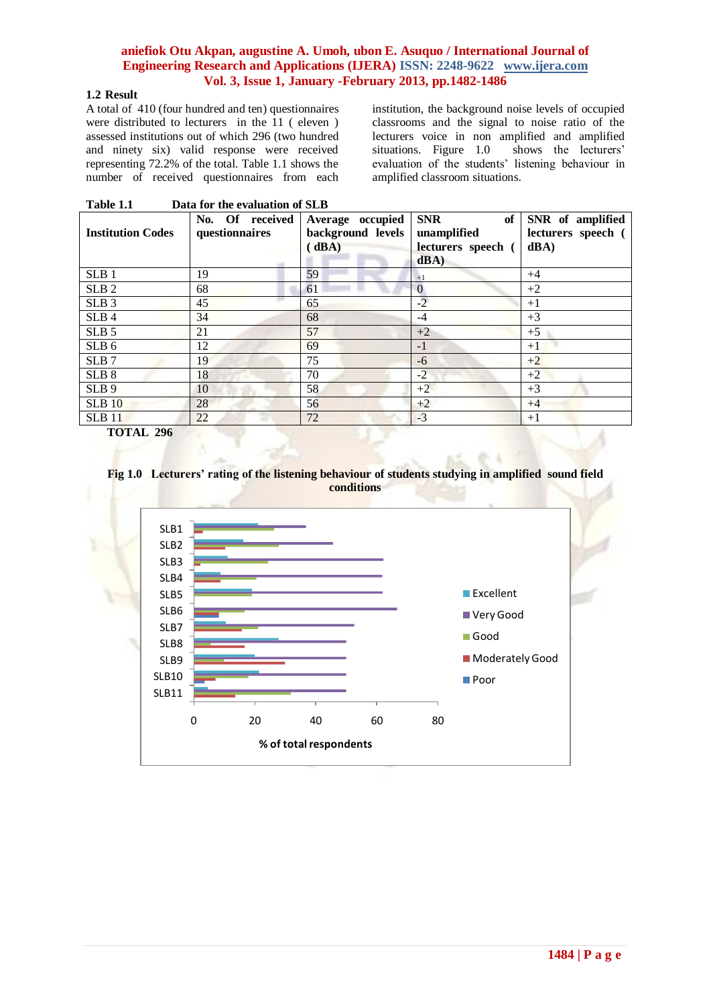## **1.2 Result**

A total of 410 (four hundred and ten) questionnaires were distributed to lecturers in the 11 ( eleven ) assessed institutions out of which 296 (two hundred and ninety six) valid response were received representing 72.2% of the total. Table 1.1 shows the number of received questionnaires from each institution, the background noise levels of occupied classrooms and the signal to noise ratio of the lecturers voice in non amplified and amplified situations. Figure  $1.0$ evaluation of the students' listening behaviour in amplified classroom situations.

| Table 1.1<br>Data for the evaluation of SLB |                                   |                                                |                                                               |                                                |  |  |
|---------------------------------------------|-----------------------------------|------------------------------------------------|---------------------------------------------------------------|------------------------------------------------|--|--|
| <b>Institution Codes</b>                    | No. Of received<br>questionnaires | Average occupied<br>background levels<br>(dBA) | <b>SNR</b><br>of<br>unamplified<br>lecturers speech (<br>dBA) | SNR of amplified<br>lecturers speech (<br>dBA) |  |  |
| SLB1                                        | 19                                | 59                                             | $+1$                                                          | $+4$                                           |  |  |
| SLB <sub>2</sub>                            | 68                                | 61                                             | $\mathbf{0}$                                                  | $+2$                                           |  |  |
| SLB <sub>3</sub>                            | 45                                | 65                                             | $-2$                                                          | $+1$                                           |  |  |
| SLB <sub>4</sub>                            | 34                                | 68                                             | $-4$                                                          | $+3$                                           |  |  |
| SLB <sub>5</sub>                            | 21                                | 57                                             | $+2$                                                          | $+5$                                           |  |  |
| SLB <sub>6</sub>                            | 12                                | 69                                             | $-1$                                                          | $+1$                                           |  |  |
| SLB <sub>7</sub>                            | 19                                | 75                                             | $-6$                                                          | $+2$                                           |  |  |
| SLB <sub>8</sub>                            | 18                                | 70                                             | $-2$                                                          | $+2$                                           |  |  |
| SLB 9                                       | 10                                | 58                                             | $+2$                                                          | $+3$                                           |  |  |
| SLB10                                       | 28                                | 56                                             | $+2$                                                          | $+4$                                           |  |  |
| $SLB$ 11                                    | 22                                | 72                                             | $-3$                                                          | $+1$                                           |  |  |

 **TOTAL 296**



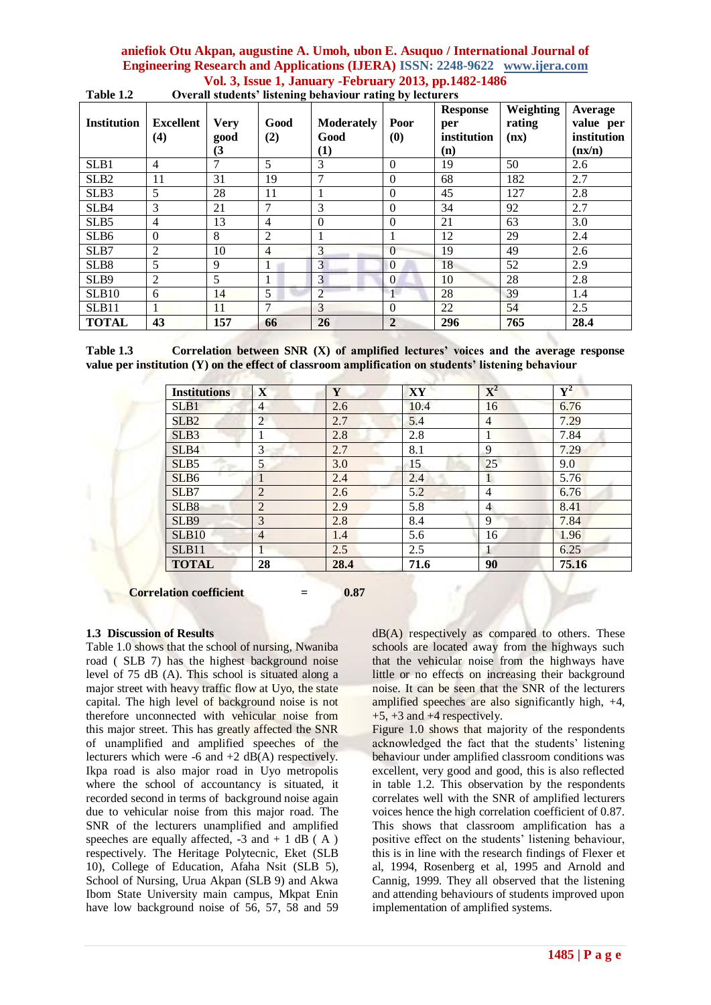| <b>Institution</b> | <b>Excellent</b><br>(4) | <b>Very</b><br>good<br>(3 | Good<br>(2)    | <b>Moderately</b><br>Good<br>$\left(1\right)$ | Poor<br>(0)    | <b>Response</b><br>per<br>institution<br>(n) | Weighting<br>rating<br>(nx) | Average<br>value per<br>institution<br>(nx/n) |
|--------------------|-------------------------|---------------------------|----------------|-----------------------------------------------|----------------|----------------------------------------------|-----------------------------|-----------------------------------------------|
| SLB1               | $\overline{4}$          | 7                         | 5              | 3                                             | $\Omega$       | 19                                           | 50                          | 2.6                                           |
| SLB <sub>2</sub>   | 11                      | 31                        | 19             | $\overline{7}$                                | $\theta$       | 68                                           | 182                         | 2.7                                           |
| SLB3               | 5                       | 28                        | 11             |                                               | $\overline{0}$ | 45                                           | 127                         | 2.8                                           |
| SLB4               | 3                       | 21                        | 7              | 3                                             | $\Omega$       | 34                                           | 92                          | 2.7                                           |
| SLB <sub>5</sub>   | $\overline{4}$          | 13                        | $\overline{4}$ | $\theta$                                      | $\theta$       | 21                                           | 63                          | 3.0                                           |
| SLB <sub>6</sub>   | $\mathbf{0}$            | 8                         | $\overline{2}$ |                                               | 1              | 12                                           | 29                          | 2.4                                           |
| SLB7               | $\overline{2}$          | 10                        | $\overline{4}$ | 3                                             | $\theta$       | 19                                           | 49                          | 2.6                                           |
| SLB8               | 5                       | 9                         |                | $\mathfrak{Z}$                                | $\Omega$       | 18                                           | 52                          | 2.9                                           |
| SLB9               | 2                       | 5                         |                | $\overline{3}$                                | $\overline{0}$ | 10                                           | 28                          | 2.8                                           |
| SLB10              | 6                       | 14                        | 5              | $\overline{2}$                                | $\mathbf{1}$   | 28                                           | 39                          | 1.4                                           |
| SLB <sub>11</sub>  |                         | 11                        | 7              | 3                                             | $\Omega$       | 22                                           | 54                          | 2.5                                           |
| <b>TOTAL</b>       | 43                      | 157                       | 66             | 26                                            | $\overline{2}$ | 296                                          | 765                         | 28.4                                          |

**Table 1.2 Overall students' listening behaviour rating by lecturers**

**Table 1.3 Correlation between SNR (X) of amplified lectures' voices and the average response value per institution (Y) on the effect of classroom amplification on students' listening behaviour**

| <b>Institutions</b> | $\mathbf X$    | Y    | XY   | ${\bf X}^2$    | $\overline{\mathbf{Y}^2}$ |
|---------------------|----------------|------|------|----------------|---------------------------|
| SLB1                | 4              | 2.6  | 10.4 | 16             | 6.76                      |
| SLB <sub>2</sub>    | 2              | 2.7  | 5.4  | $\overline{4}$ | 7.29                      |
| SLB <sub>3</sub>    |                | 2.8  | 2.8  |                | 7.84                      |
| SLB4                | 3              | 2.7  | 8.1  | 9              | 7.29                      |
| SLB5                | 5              | 3.0  | 15   | 25             | 9.0                       |
| SLB <sub>6</sub>    |                | 2.4  | 2.4  | 1              | 5.76                      |
| SLB7                | $\overline{2}$ | 2.6  | 5.2  | 4              | 6.76                      |
| SLB8                | $\overline{2}$ | 2.9  | 5.8  | $\overline{4}$ | 8.41                      |
| SLB9                | 3              | 2.8  | 8.4  | 9              | 7.84                      |
| <b>SLB10</b>        | $\overline{4}$ | 1.4  | 5.6  | 16             | 1.96                      |
| SLB11               | 1              | 2.5  | 2.5  |                | 6.25                      |
| <b>TOTAL</b>        | 28             | 28.4 | 71.6 | 90             | 75.16                     |

**Correlation coefficient = 0.87**

# **1.3 Discussion of Results**

Table 1.0 shows that the school of nursing, Nwaniba road ( SLB 7) has the highest background noise level of 75 dB (A). This school is situated along a major street with heavy traffic flow at Uyo, the state capital. The high level of background noise is not therefore unconnected with vehicular noise from this major street. This has greatly affected the SNR of unamplified and amplified speeches of the lecturers which were  $-6$  and  $+2$  dB(A) respectively. Ikpa road is also major road in Uyo metropolis where the school of accountancy is situated, it recorded second in terms of background noise again due to vehicular noise from this major road. The SNR of the lecturers unamplified and amplified speeches are equally affected,  $-3$  and  $+ 1$  dB (A) respectively. The Heritage Polytecnic, Eket (SLB 10), College of Education, Afaha Nsit (SLB 5), School of Nursing, Urua Akpan (SLB 9) and Akwa Ibom State University main campus, Mkpat Enin have low background noise of 56, 57, 58 and 59  $dB(A)$  respectively as compared to others. These schools are located away from the highways such that the vehicular noise from the highways have little or no effects on increasing their background noise. It can be seen that the SNR of the lecturers amplified speeches are also significantly high, +4,  $+5$ ,  $+3$  and  $+4$  respectively.

Figure 1.0 shows that majority of the respondents acknowledged the fact that the students' listening behaviour under amplified classroom conditions was excellent, very good and good, this is also reflected in table 1.2. This observation by the respondents correlates well with the SNR of amplified lecturers voices hence the high correlation coefficient of 0.87. This shows that classroom amplification has a positive effect on the students' listening behaviour, this is in line with the research findings of Flexer et al, 1994, Rosenberg et al, 1995 and Arnold and Cannig, 1999. They all observed that the listening and attending behaviours of students improved upon implementation of amplified systems.